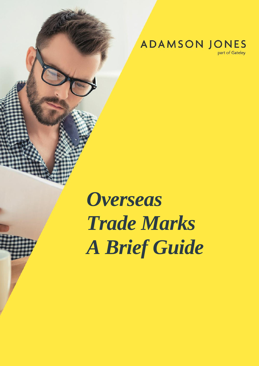**ADAMSON JONES** 

part of Gateley

# *Overseas Trade Marks A Brief Guide*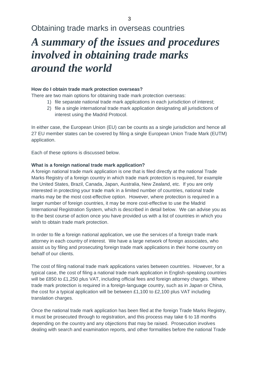### Obtaining trade marks in overseas countries

## *A summary of the issues and procedures involved in obtaining trade marks around the world*

#### **How do I obtain trade mark protection overseas?**

There are two main options for obtaining trade mark protection overseas:

- 1) file separate national trade mark applications in each jurisdiction of interest;
- 2) file a single international trade mark application designating all jurisdictions of interest using the Madrid Protocol.

In either case, the European Union (EU) can be counts as a single jurisdiction and hence all 27 EU member states can be covered by filing a single European Union Trade Mark (EUTM) application.

Each of these options is discussed below.

#### **What is a foreign national trade mark application?**

A foreign national trade mark application is one that is filed directly at the national Trade Marks Registry of a foreign country in which trade mark protection is required, for example the United States, Brazil, Canada, Japan, Australia, New Zealand, etc. If you are only interested in protecting your trade mark in a limited number of countries, national trade marks may be the most cost-effective option. However, where protection is required in a larger number of foreign countries, it may be more cost-effective to use the Madrid International Registration System, which is described in detail below. We can advise you as to the best course of action once you have provided us with a list of countries in which you wish to obtain trade mark protection.

In order to file a foreign national application, we use the services of a foreign trade mark attorney in each country of interest. We have a large network of foreign associates, who assist us by filing and prosecuting foreign trade mark applications in their home country on behalf of our clients.

The cost of filing national trade mark applications varies between countries. However, for a typical case, the cost of filing a national trade mark application in English-speaking countries will be £850 to £1,250 plus VAT, including official fees and foreign attorney charges. Where trade mark protection is required in a foreign-language country, such as in Japan or China, the cost for a typical application will be between £1,100 to £2,100 plus VAT including translation charges.

Once the national trade mark application has been filed at the foreign Trade Marks Registry, it must be prosecuted through to registration, and this process may take 6 to 18 months depending on the country and any objections that may be raised. Prosecution involves dealing with search and examination reports, and other formalities before the national Trade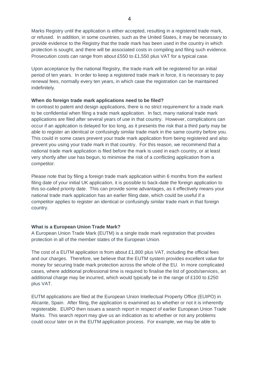Marks Registry until the application is either accepted, resulting in a registered trade mark, or refused. In addition, in some countries, such as the United States, it may be necessary to provide evidence to the Registry that the trade mark has been used in the country in which protection is sought, and there will be associated costs in compiling and filing such evidence. Prosecution costs can range from about £550 to £1,550 plus VAT for a typical case.

Upon acceptance by the national Registry, the trade mark will be registered for an initial period of ten years. In order to keep a registered trade mark in force, it is necessary to pay renewal fees, normally every ten years, in which case the registration can be maintained indefinitely.

#### **When do foreign trade mark applications need to be filed?**

In contrast to patent and design applications, there is no strict requirement for a trade mark to be confidential when filing a trade mark application. In fact, many national trade mark applications are filed after several years of use in that country. However, complications can occur if an application is delayed for too long, as it presents the risk that a third party may be able to register an identical or confusingly similar trade mark in the same country before you. This could in some cases prevent your trade mark application from being registered and also prevent you using your trade mark in that country. For this reason, we recommend that a national trade mark application is filed before the mark is used in each country, or at least very shortly after use has begun, to minimise the risk of a conflicting application from a competitor.

Please note that by filing a foreign trade mark application within 6 months from the earliest filing date of your initial UK application, it is possible to back-date the foreign application to this so-called priority date. This can provide some advantages, as it effectively means your national trade mark application has an earlier filing date, which could be useful if a competitor applies to register an identical or confusingly similar trade mark in that foreign country.

#### **What is a European Union Trade Mark?**

A European Union Trade Mark (EUTM) is a single trade mark registration that provides protection in all of the member states of the European Union.

The cost of a EUTM application is from about £1,800 plus VAT, including the official fees and our charges. Therefore, we believe that the EUTM system provides excellent value for money for securing trade mark protection across the whole of the EU. In more complicated cases, where additional professional time is required to finalise the list of goods/services, an additional charge may be incurred, which would typically be in the range of £100 to £250 plus VAT.

EUTM applications are filed at the European Union Intellectual Property Office (EUIPO) in Alicante, Spain. After filing, the application is examined as to whether or not it is inherently registerable. EUIPO then issues a search report in respect of earlier European Union Trade Marks. This search report may give us an indication as to whether or not any problems could occur later on in the EUTM application process. For example, we may be able to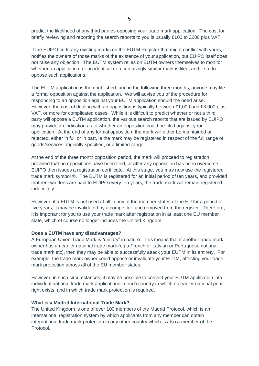predict the likelihood of any third parties opposing your trade mark application. The cost for briefly reviewing and reporting the search reports to you is usually £100 to £200 plus VAT.

If the EUIPO finds any existing marks on the EUTM Register that might conflict with yours, it notifies the owners of those marks of the existence of your application, but EUIPO itself does not raise any objection. The EUTM system relies on EUTM owners themselves to monitor whether an application for an identical or a confusingly similar mark is filed, and if so, to oppose such applications.

The EUTM application is then published, and in the following three months, anyone may file a formal opposition against the application. We will advise you of the procedure for responding to an opposition against your EUTM application should the need arise. However, the cost of dealing with an opposition is typically between £1,000 and £3,000 plus VAT, or more for complicated cases. While it is difficult to predict whether or not a third party will oppose a EUTM application, the various search reports that are issued by EUIPO may provide an indication as to whether an opposition could be filed against your application. At the end of any formal opposition, the mark will either be maintained or rejected, either in full or in part, ie the mark may be registered in respect of the full range of goods/services originally specified, or a limited range.

At the end of the three month opposition period, the mark will proceed to registration, provided that no oppositions have been filed, or after any opposition has been overcome. EUIPO then issues a registration certificate. At this stage, you may now use the registered trade mark symbol ®. The EUTM is registered for an initial period of ten years, and provided that renewal fees are paid to EUIPO every ten years, the trade mark will remain registered indefinitely.

However, if a EUTM is not used at all in any of the member states of the EU for a period of five years, it may be invalidated by a competitor, and removed from the register. Therefore, it is important for you to use your trade mark after registration in at least one EU member state, which of course no longer includes the United Kingdom.

#### **Does a EUTM have any disadvantages?**

A European Union Trade Mark is "unitary" in nature. This means that if another trade mark owner has an earlier national trade mark (eg a French or Latvian or Portuguese national trade mark etc), then they may be able to successfully attack your EUTM in its entirety. For example, the trade mark owner could oppose or invalidate your EUTM, affecting your trade mark protection across all of the EU member states.

However, in such circumstances, it may be possible to convert your EUTM application into individual national trade mark applications in each country in which no earlier national prior right exists, and in which trade mark protection is required.

#### **What is a Madrid International Trade Mark?**

The United Kingdom is one of over 100 members of the Madrid Protocol, which is an international registration system by which applicants from any member can obtain international trade mark protection in any other country which is also a member of the Protocol.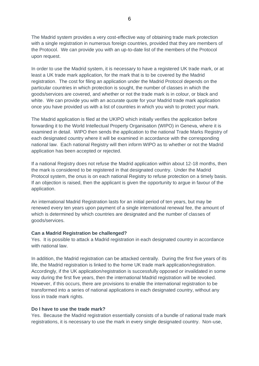The Madrid system provides a very cost-effective way of obtaining trade mark protection with a single registration in numerous foreign countries, provided that they are members of the Protocol. We can provide you with an up-to-date list of the members of the Protocol upon request.

In order to use the Madrid system, it is necessary to have a registered UK trade mark, or at least a UK trade mark application, for the mark that is to be covered by the Madrid registration. The cost for filing an application under the Madrid Protocol depends on the particular countries in which protection is sought, the number of classes in which the goods/services are covered, and whether or not the trade mark is in colour, or black and white. We can provide you with an accurate quote for your Madrid trade mark application once you have provided us with a list of countries in which you wish to protect your mark.

The Madrid application is filed at the UKIPO which initially verifies the application before forwarding it to the World Intellectual Property Organisation (WIPO) in Geneva, where it is examined in detail. WIPO then sends the application to the national Trade Marks Registry of each designated country where it will be examined in accordance with the corresponding national law. Each national Registry will then inform WIPO as to whether or not the Madrid application has been accepted or rejected.

If a national Registry does not refuse the Madrid application within about 12-18 months, then the mark is considered to be registered in that designated country. Under the Madrid Protocol system, the onus is on each national Registry to refuse protection on a timely basis. If an objection is raised, then the applicant is given the opportunity to argue in favour of the application.

An international Madrid Registration lasts for an initial period of ten years, but may be renewed every ten years upon payment of a single international renewal fee, the amount of which is determined by which countries are designated and the number of classes of goods/services.

#### **Can a Madrid Registration be challenged?**

Yes. It is possible to attack a Madrid registration in each designated country in accordance with national law.

In addition, the Madrid registration can be attacked centrally. During the first five years of its life, the Madrid registration is linked to the home UK trade mark application/registration. Accordingly, if the UK application/registration is successfully opposed or invalidated in some way during the first five years, then the international Madrid registration will be revoked. However, if this occurs, there are provisions to enable the international registration to be transformed into a series of national applications in each designated country, without any loss in trade mark rights.

#### **Do I have to use the trade mark?**

Yes. Because the Madrid registration essentially consists of a bundle of national trade mark registrations, it is necessary to use the mark in every single designated country. Non-use,